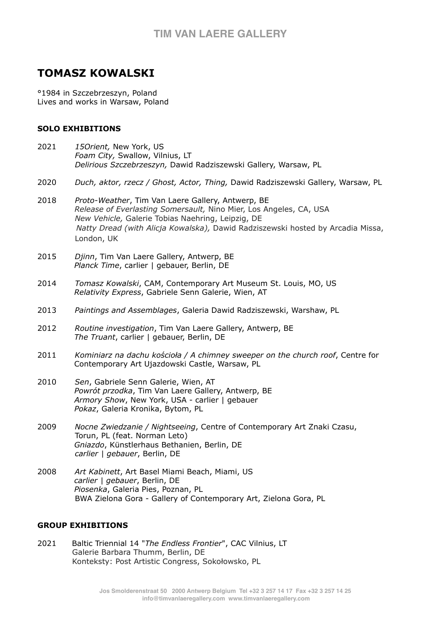# **TOMASZ KOWALSKI**

°1984 in Szczebrzeszyn, Poland Lives and works in Warsaw, Poland

### **SOLO EXHIBITIONS**

- 2021 *15Orient,* New York, US  *Foam City,* Swallow, Vilnius, LT *Delirious Szczebrzeszyn,* Dawid Radziszewski Gallery, Warsaw, PL
- 2020 *Duch, aktor, rzecz / Ghost, Actor, Thing,* Dawid Radziszewski Gallery, Warsaw, PL
- 2018 *Proto-Weather*, Tim Van Laere Gallery, Antwerp, BE  *Release of Everlasting Somersault,* Nino Mier, Los Angeles, CA, USA *New Vehicle,* Galerie Tobias Naehring, Leipzig, DE *Natty Dread (with Alicja Kowalska),* Dawid Radziszewski hosted by Arcadia Missa, London, UK
- 2015 *Djinn*, Tim Van Laere Gallery, Antwerp, BE *Planck Time*, carlier | gebauer, Berlin, DE
- 2014 *Tomasz Kowalski*, CAM, Contemporary Art Museum St. Louis, MO, US *Relativity Express*, Gabriele Senn Galerie, Wien, AT
- 2013 *Paintings and Assemblages*, Galeria Dawid Radziszewski, Warshaw, PL
- 2012 *Routine investigation*, Tim Van Laere Gallery, Antwerp, BE *The Truant*, carlier | gebauer, Berlin, DE
- 2011 *Kominiarz na dachu kościoła / A chimney sweeper on the church roof*, Centre for Contemporary Art Ujazdowski Castle, Warsaw, PL
- 2010 *Sen*, Gabriele Senn Galerie, Wien, AT *Powrót przodka*, Tim Van Laere Gallery, Antwerp, BE *Armory Show*, New York, USA - carlier | gebauer *Pokaz*, Galeria Kronika, Bytom, PL
- 2009 *Nocne Zwiedzanie / Nightseeing*, Centre of Contemporary Art Znaki Czasu, Torun, PL (feat. Norman Leto) *Gniazdo*, Künstlerhaus Bethanien, Berlin, DE *carlier | gebauer*, Berlin, DE
- 2008 *Art Kabinett*, Art Basel Miami Beach, Miami, US *carlier | gebauer*, Berlin, DE *Piosenka*, Galeria Pies, Poznan, PL BWA Zielona Gora - Gallery of Contemporary Art, Zielona Gora, PL

#### **GROUP EXHIBITIONS**

2021Baltic Triennial 14 "*The Endless Frontier*", CAC Vilnius, LT Galerie Barbara Thumm, Berlin, DE Konteksty: Post Artistic Congress, Sokołowsko, PL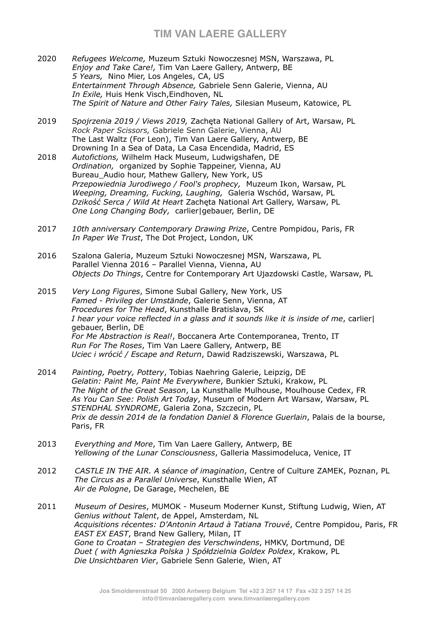## **TIM VAN LAERE GALLERY**

- 2020*Refugees Welcome,* Muzeum Sztuki Nowoczesnej MSN, Warszawa, PL *Enjoy and Take Care!,* Tim Van Laere Gallery, Antwerp, BE *5 Years,* Nino Mier, Los Angeles, CA, US *Entertainment Through Absence,* Gabriele Senn Galerie, Vienna, AU *In Exile,* Huis Henk Visch,Eindhoven, NL *The Spirit of Nature and Other Fairy Tales,* Silesian Museum, Katowice, PL
- 2019*Spojrzenia 2019 / Views 2019,* Zachęta National Gallery of Art, Warsaw, PL *Rock Paper Scissors,* Gabriele Senn Galerie, Vienna, AU The Last Waltz (For Leon), Tim Van Laere Gallery, Antwerp, BE Drowning In a Sea of Data, La Casa Encendida, Madrid, ES
- 2018 *Autofictions,* Wilhelm Hack Museum, Ludwigshafen, DE *Ordination,* organized by Sophie Tappeiner, Vienna, AU Bureau Audio hour, Mathew Gallery, New York, US  *Przepowiednia Jurodiwego / Fool's prophecy,* Muzeum Ikon, Warsaw, PL *Weeping, Dreaming, Fucking, Laughing,* Galeria Wschód, Warsaw, PL *Dzikość Serca / Wild At Heart* Zachęta National Art Gallery, Warsaw, PL *One Long Changing Body,* carlier|gebauer, Berlin, DE
- 2017*10th anniversary Contemporary Drawing Prize*, Centre Pompidou, Paris, FR *In Paper We Trust*, The Dot Project, London, UK
- 2016 Szalona Galeria, Muzeum Sztuki Nowoczesnej MSN, Warszawa, PL Parallel Vienna 2016 – Parallel Vienna, Vienna, AU *Objects Do Things*, Centre for Contemporary Art Ujazdowski Castle, Warsaw, PL
- 2015 *Very Long Figures*, Simone Subal Gallery, New York, US *Famed - Privileg der Umstände*, Galerie Senn, Vienna, AT *Procedures for The Head*, Kunsthalle Bratislava, SK *I hear your voice reflected in a glass and it sounds like it is inside of me*, carlier| gebauer, Berlin, DE *For Me Abstraction is Real!*, Boccanera Arte Contemporanea, Trento, IT *Run For The Roses*, Tim Van Laere Gallery, Antwerp, BE *Uciec i wrócić / Escape and Return*, Dawid Radziszewski, Warszawa, PL
- 2014 *Painting, Poetry, Pottery*, Tobias Naehring Galerie, Leipzig, DE *Gelatin: Paint Me, Paint Me Everywhere*, Bunkier Sztuki, Krakow, PL *The Night of the Great Season*, La Kunsthalle Mulhouse, Moulhouse Cedex, FR *As You Can See: Polish Art Today*, Museum of Modern Art Warsaw, Warsaw, PL *STENDHAL SYNDROME*, Galeria Zona, Szczecin, PL *Prix de dessin 2014 de la fondation Daniel & Florence Guerlain*, Palais de la bourse, Paris, FR
- 2013 *Everything and More*, Tim Van Laere Gallery, Antwerp, BE *Yellowing of the Lunar Consciousness*, Galleria Massimodeluca, Venice, IT
- 2012 *CASTLE IN THE AIR. A séance of imagination*, Centre of Culture ZAMEK, Poznan, PL *The Circus as a Parallel Universe*, Kunsthalle Wien, AT *Air de Pologne*, De Garage, Mechelen, BE
- 2011 *Museum of Desires*, MUMOK Museum Moderner Kunst, Stiftung Ludwig, Wien, AT *Genius without Talent*, de Appel, Amsterdam, NL *Acquisitions récentes: D'Antonin Artaud à Tatiana Trouvé*, Centre Pompidou, Paris, FR *EAST EX EAST*, Brand New Gallery, Milan, IT *Gone to Croatan – Strategien des Verschwindens*, HMKV, Dortmund, DE *Duet ( with Agnieszka Polska ) Spółdzielnia Goldex Poldex*, Krakow, PL *Die Unsichtbaren Vier*, Gabriele Senn Galerie, Wien, AT